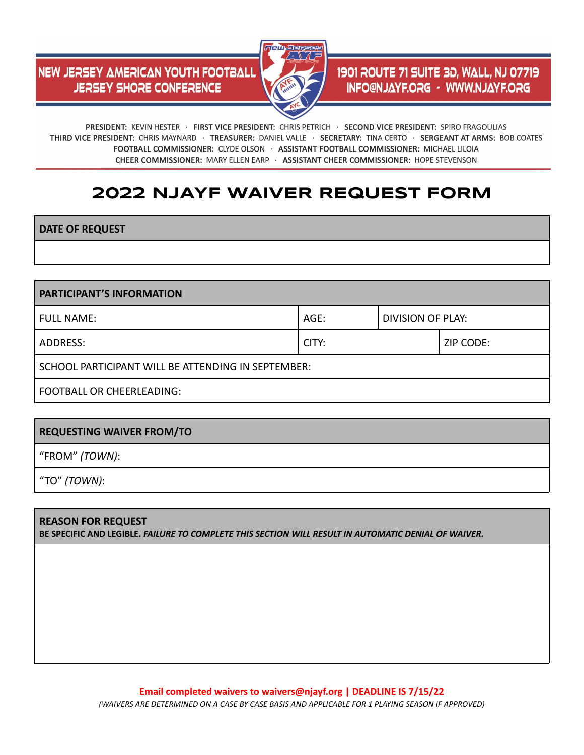## **NEW JERSEY AMERICAN YOUTH FOOTBALL JERSEY SHORE CONFERENCE**



## 1901 ROUTE 71 SUITE 3D, WALL, NJ 07719 **INFO@NJAYF.ORG - WWW.NJAYF.ORG**

PRESIDENT: KEVIN HESTER · FIRST VICE PRESIDENT: CHRIS PETRICH · SECOND VICE PRESIDENT: SPIRO FRAGOULIAS THIRD VICE PRESIDENT: CHRIS MAYNARD · TREASURER: DANIEL VALLE · SECRETARY: TINA CERTO · SERGEANT AT ARMS: BOB COATES FOOTBALL COMMISSIONER: CLYDE OLSON · ASSISTANT FOOTBALL COMMISSIONER: MICHAEL LILOIA CHEER COMMISSIONER: MARY ELLEN EARP · ASSISTANT CHEER COMMISSIONER: HOPE STEVENSON

# **2022 NJAYF WAIVER REQUEST FORM**

**DATE OF REQUEST**

**PARTICIPANT'S INFORMATION** FULL NAME:  $\begin{array}{ccc} \text{FULL} & \text{N} \\ \text{BMS} & \text{AGE} \\ \text{DIVISION OF PLAY:} \end{array}$ ADDRESS: CITY: ZIP CODE: SCHOOL PARTICIPANT WILL BE ATTENDING IN SEPTEMBER: FOOTBALL OR CHEERLEADING:

### **REQUESTING WAIVER FROM/TO**

"FROM" *(TOWN)*:

"TO" *(TOWN)*:

#### **REASON FOR REQUEST BE SPECIFIC AND LEGIBLE.** *FAILURE TO COMPLETE THIS SECTION WILL RESULT IN AUTOMATIC DENIAL OF WAIVER.*